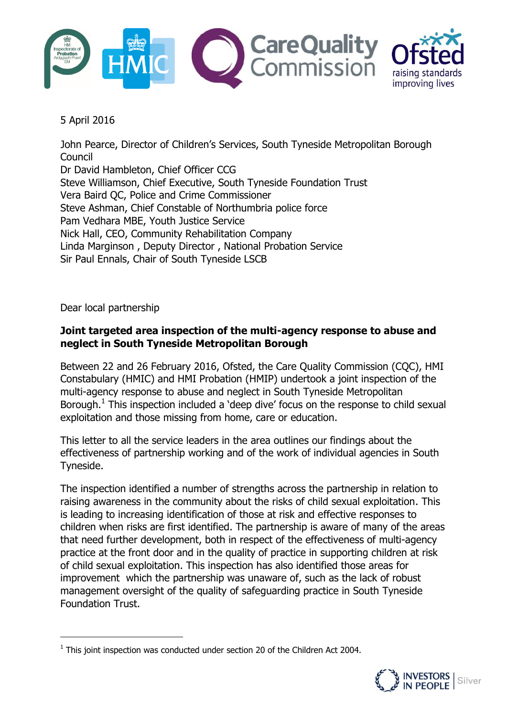



# 5 April 2016

John Pearce, Director of Children's Services, South Tyneside Metropolitan Borough Council Dr David Hambleton, Chief Officer CCG Steve Williamson, Chief Executive, South Tyneside Foundation Trust Vera Baird QC, Police and Crime Commissioner Steve Ashman, Chief Constable of Northumbria police force Pam Vedhara MBE, Youth Justice Service Nick Hall, CEO, Community Rehabilitation Company Linda Marginson , Deputy Director , National Probation Service Sir Paul Ennals, Chair of South Tyneside LSCB

Dear local partnership

 $\overline{a}$ 

# **Joint targeted area inspection of the multi-agency response to abuse and neglect in South Tyneside Metropolitan Borough**

Between 22 and 26 February 2016, Ofsted, the Care Quality Commission (CQC), HMI Constabulary (HMIC) and HMI Probation (HMIP) undertook a joint inspection of the multi-agency response to abuse and neglect in South Tyneside Metropolitan Borough.<sup>1</sup> This inspection included a 'deep dive' focus on the response to child sexual exploitation and those missing from home, care or education.

This letter to all the service leaders in the area outlines our findings about the effectiveness of partnership working and of the work of individual agencies in South Tyneside.

The inspection identified a number of strengths across the partnership in relation to raising awareness in the community about the risks of child sexual exploitation. This is leading to increasing identification of those at risk and effective responses to children when risks are first identified. The partnership is aware of many of the areas that need further development, both in respect of the effectiveness of multi-agency practice at the front door and in the quality of practice in supporting children at risk of child sexual exploitation. This inspection has also identified those areas for improvement which the partnership was unaware of, such as the lack of robust management oversight of the quality of safeguarding practice in South Tyneside Foundation Trust.

 $<sup>1</sup>$  This joint inspection was conducted under section 20 of the Children Act 2004.</sup>

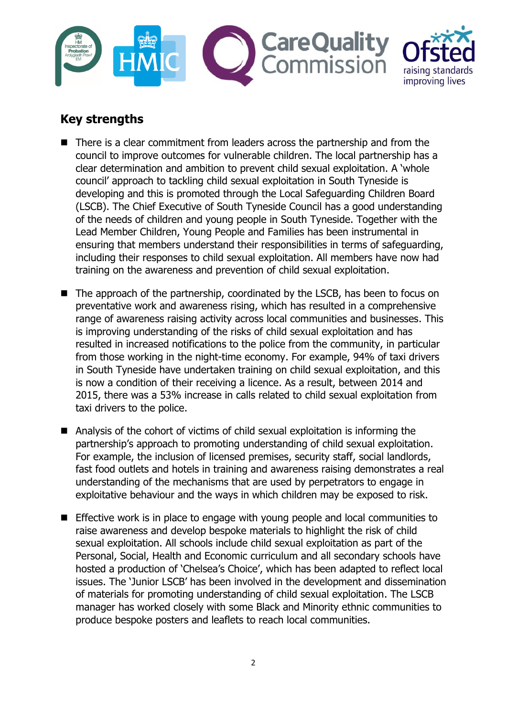



# **Key strengths**

- There is a clear commitment from leaders across the partnership and from the council to improve outcomes for vulnerable children. The local partnership has a clear determination and ambition to prevent child sexual exploitation. A 'whole council' approach to tackling child sexual exploitation in South Tyneside is developing and this is promoted through the Local Safeguarding Children Board (LSCB). The Chief Executive of South Tyneside Council has a good understanding of the needs of children and young people in South Tyneside. Together with the Lead Member Children, Young People and Families has been instrumental in ensuring that members understand their responsibilities in terms of safeguarding, including their responses to child sexual exploitation. All members have now had training on the awareness and prevention of child sexual exploitation.
- The approach of the partnership, coordinated by the LSCB, has been to focus on preventative work and awareness rising, which has resulted in a comprehensive range of awareness raising activity across local communities and businesses. This is improving understanding of the risks of child sexual exploitation and has resulted in increased notifications to the police from the community, in particular from those working in the night-time economy. For example, 94% of taxi drivers in South Tyneside have undertaken training on child sexual exploitation, and this is now a condition of their receiving a licence. As a result, between 2014 and 2015, there was a 53% increase in calls related to child sexual exploitation from taxi drivers to the police.
- Analysis of the cohort of victims of child sexual exploitation is informing the partnership's approach to promoting understanding of child sexual exploitation. For example, the inclusion of licensed premises, security staff, social landlords, fast food outlets and hotels in training and awareness raising demonstrates a real understanding of the mechanisms that are used by perpetrators to engage in exploitative behaviour and the ways in which children may be exposed to risk.
- **Effective work is in place to engage with young people and local communities to** raise awareness and develop bespoke materials to highlight the risk of child sexual exploitation. All schools include child sexual exploitation as part of the Personal, Social, Health and Economic curriculum and all secondary schools have hosted a production of 'Chelsea's Choice', which has been adapted to reflect local issues. The 'Junior LSCB' has been involved in the development and dissemination of materials for promoting understanding of child sexual exploitation. The LSCB manager has worked closely with some Black and Minority ethnic communities to produce bespoke posters and leaflets to reach local communities.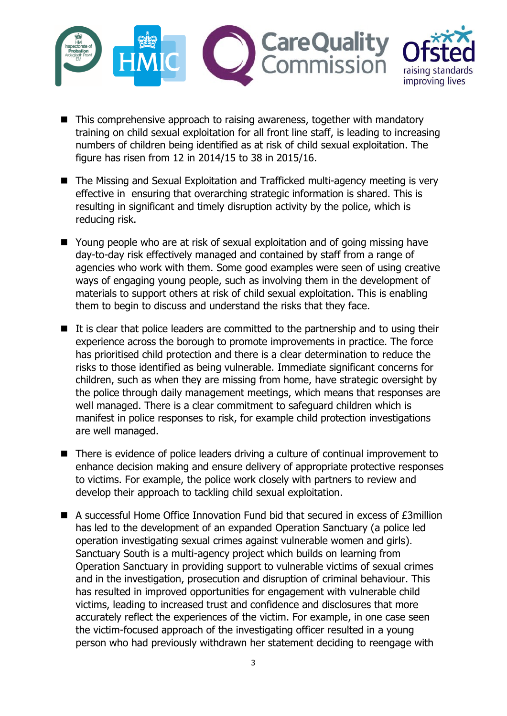

- This comprehensive approach to raising awareness, together with mandatory training on child sexual exploitation for all front line staff, is leading to increasing numbers of children being identified as at risk of child sexual exploitation. The figure has risen from 12 in 2014/15 to 38 in 2015/16.
- The Missing and Sexual Exploitation and Trafficked multi-agency meeting is very effective in ensuring that overarching strategic information is shared. This is resulting in significant and timely disruption activity by the police, which is reducing risk.
- Young people who are at risk of sexual exploitation and of going missing have day-to-day risk effectively managed and contained by staff from a range of agencies who work with them. Some good examples were seen of using creative ways of engaging young people, such as involving them in the development of materials to support others at risk of child sexual exploitation. This is enabling them to begin to discuss and understand the risks that they face.
- It is clear that police leaders are committed to the partnership and to using their experience across the borough to promote improvements in practice. The force has prioritised child protection and there is a clear determination to reduce the risks to those identified as being vulnerable. Immediate significant concerns for children, such as when they are missing from home, have strategic oversight by the police through daily management meetings, which means that responses are well managed. There is a clear commitment to safeguard children which is manifest in police responses to risk, for example child protection investigations are well managed.
- There is evidence of police leaders driving a culture of continual improvement to enhance decision making and ensure delivery of appropriate protective responses to victims. For example, the police work closely with partners to review and develop their approach to tackling child sexual exploitation.
- A successful Home Office Innovation Fund bid that secured in excess of £3million has led to the development of an expanded Operation Sanctuary (a police led operation investigating sexual crimes against vulnerable women and girls). Sanctuary South is a multi-agency project which builds on learning from Operation Sanctuary in providing support to vulnerable victims of sexual crimes and in the investigation, prosecution and disruption of criminal behaviour. This has resulted in improved opportunities for engagement with vulnerable child victims, leading to increased trust and confidence and disclosures that more accurately reflect the experiences of the victim. For example, in one case seen the victim-focused approach of the investigating officer resulted in a young person who had previously withdrawn her statement deciding to reengage with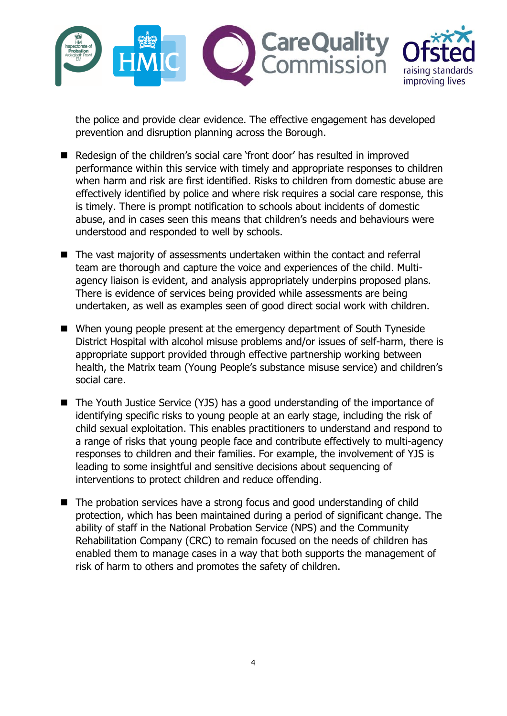

the police and provide clear evidence. The effective engagement has developed prevention and disruption planning across the Borough.

- Redesign of the children's social care 'front door' has resulted in improved performance within this service with timely and appropriate responses to children when harm and risk are first identified. Risks to children from domestic abuse are effectively identified by police and where risk requires a social care response, this is timely. There is prompt notification to schools about incidents of domestic abuse, and in cases seen this means that children's needs and behaviours were understood and responded to well by schools.
- The vast majority of assessments undertaken within the contact and referral team are thorough and capture the voice and experiences of the child. Multiagency liaison is evident, and analysis appropriately underpins proposed plans. There is evidence of services being provided while assessments are being undertaken, as well as examples seen of good direct social work with children.
- When young people present at the emergency department of South Tyneside District Hospital with alcohol misuse problems and/or issues of self-harm, there is appropriate support provided through effective partnership working between health, the Matrix team (Young People's substance misuse service) and children's social care.
- The Youth Justice Service (YJS) has a good understanding of the importance of identifying specific risks to young people at an early stage, including the risk of child sexual exploitation. This enables practitioners to understand and respond to a range of risks that young people face and contribute effectively to multi-agency responses to children and their families. For example, the involvement of YJS is leading to some insightful and sensitive decisions about sequencing of interventions to protect children and reduce offending.
- The probation services have a strong focus and good understanding of child protection, which has been maintained during a period of significant change. The ability of staff in the National Probation Service (NPS) and the Community Rehabilitation Company (CRC) to remain focused on the needs of children has enabled them to manage cases in a way that both supports the management of risk of harm to others and promotes the safety of children.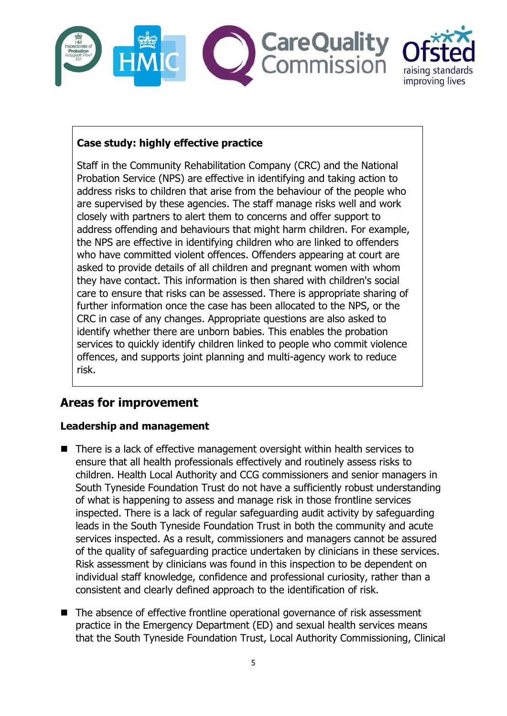



# **Case study: highly effective practice**

Staff in the Community Rehabilitation Company (CRC) and the National Probation Service (NPS) are effective in identifying and taking action to address risks to children that arise from the behaviour of the people who are supervised by these agencies. The staff manage risks well and work closely with partners to alert them to concerns and offer support to address offending and behaviours that might harm children. For example, the NPS are effective in identifying children who are linked to offenders who have committed violent offences. Offenders appearing at court are asked to provide details of all children and pregnant women with whom they have contact. This information is then shared with children's social care to ensure that risks can be assessed. There is appropriate sharing of further information once the case has been allocated to the NPS, or the CRC in case of any changes. Appropriate questions are also asked to identify whether there are unborn babies. This enables the probation services to quickly identify children linked to people who commit violence offences, and supports joint planning and multi-agency work to reduce risk.

# **Areas for improvement**

# **Leadership and management**

- There is a lack of effective management oversight within health services to ensure that all health professionals effectively and routinely assess risks to children. Health Local Authority and CCG commissioners and senior managers in South Tyneside Foundation Trust do not have a sufficiently robust understanding of what is happening to assess and manage risk in those frontline services inspected. There is a lack of regular safeguarding audit activity by safeguarding leads in the South Tyneside Foundation Trust in both the community and acute services inspected. As a result, commissioners and managers cannot be assured of the quality of safeguarding practice undertaken by clinicians in these services. Risk assessment by clinicians was found in this inspection to be dependent on individual staff knowledge, confidence and professional curiosity, rather than a consistent and clearly defined approach to the identification of risk.
- The absence of effective frontline operational governance of risk assessment practice in the Emergency Department (ED) and sexual health services means that the South Tyneside Foundation Trust, Local Authority Commissioning, Clinical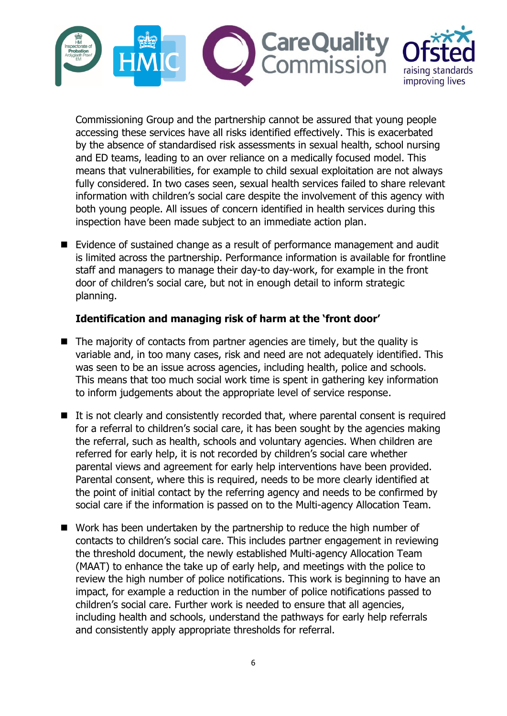

Commissioning Group and the partnership cannot be assured that young people accessing these services have all risks identified effectively. This is exacerbated by the absence of standardised risk assessments in sexual health, school nursing and ED teams, leading to an over reliance on a medically focused model. This means that vulnerabilities, for example to child sexual exploitation are not always fully considered. In two cases seen, sexual health services failed to share relevant information with children's social care despite the involvement of this agency with both young people. All issues of concern identified in health services during this inspection have been made subject to an immediate action plan.

■ Evidence of sustained change as a result of performance management and audit is limited across the partnership. Performance information is available for frontline staff and managers to manage their day-to day-work, for example in the front door of children's social care, but not in enough detail to inform strategic planning.

### **Identification and managing risk of harm at the 'front door'**

- $\blacksquare$  The majority of contacts from partner agencies are timely, but the quality is variable and, in too many cases, risk and need are not adequately identified. This was seen to be an issue across agencies, including health, police and schools. This means that too much social work time is spent in gathering key information to inform judgements about the appropriate level of service response.
- $\blacksquare$  It is not clearly and consistently recorded that, where parental consent is required for a referral to children's social care, it has been sought by the agencies making the referral, such as health, schools and voluntary agencies. When children are referred for early help, it is not recorded by children's social care whether parental views and agreement for early help interventions have been provided. Parental consent, where this is required, needs to be more clearly identified at the point of initial contact by the referring agency and needs to be confirmed by social care if the information is passed on to the Multi-agency Allocation Team.
- Work has been undertaken by the partnership to reduce the high number of contacts to children's social care. This includes partner engagement in reviewing the threshold document, the newly established Multi-agency Allocation Team (MAAT) to enhance the take up of early help, and meetings with the police to review the high number of police notifications. This work is beginning to have an impact, for example a reduction in the number of police notifications passed to children's social care. Further work is needed to ensure that all agencies, including health and schools, understand the pathways for early help referrals and consistently apply appropriate thresholds for referral.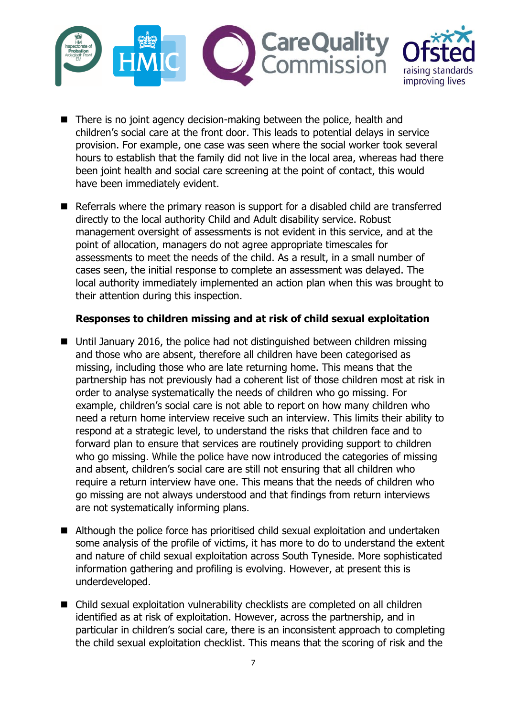

- $\blacksquare$  There is no joint agency decision-making between the police, health and children's social care at the front door. This leads to potential delays in service provision. For example, one case was seen where the social worker took several hours to establish that the family did not live in the local area, whereas had there been joint health and social care screening at the point of contact, this would have been immediately evident.
- Referrals where the primary reason is support for a disabled child are transferred directly to the local authority Child and Adult disability service. Robust management oversight of assessments is not evident in this service, and at the point of allocation, managers do not agree appropriate timescales for assessments to meet the needs of the child. As a result, in a small number of cases seen, the initial response to complete an assessment was delayed. The local authority immediately implemented an action plan when this was brought to their attention during this inspection.

#### **Responses to children missing and at risk of child sexual exploitation**

- Until January 2016, the police had not distinguished between children missing and those who are absent, therefore all children have been categorised as missing, including those who are late returning home. This means that the partnership has not previously had a coherent list of those children most at risk in order to analyse systematically the needs of children who go missing. For example, children's social care is not able to report on how many children who need a return home interview receive such an interview. This limits their ability to respond at a strategic level, to understand the risks that children face and to forward plan to ensure that services are routinely providing support to children who go missing. While the police have now introduced the categories of missing and absent, children's social care are still not ensuring that all children who require a return interview have one. This means that the needs of children who go missing are not always understood and that findings from return interviews are not systematically informing plans.
- Although the police force has prioritised child sexual exploitation and undertaken some analysis of the profile of victims, it has more to do to understand the extent and nature of child sexual exploitation across South Tyneside. More sophisticated information gathering and profiling is evolving. However, at present this is underdeveloped.
- Child sexual exploitation vulnerability checklists are completed on all children identified as at risk of exploitation. However, across the partnership, and in particular in children's social care, there is an inconsistent approach to completing the child sexual exploitation checklist. This means that the scoring of risk and the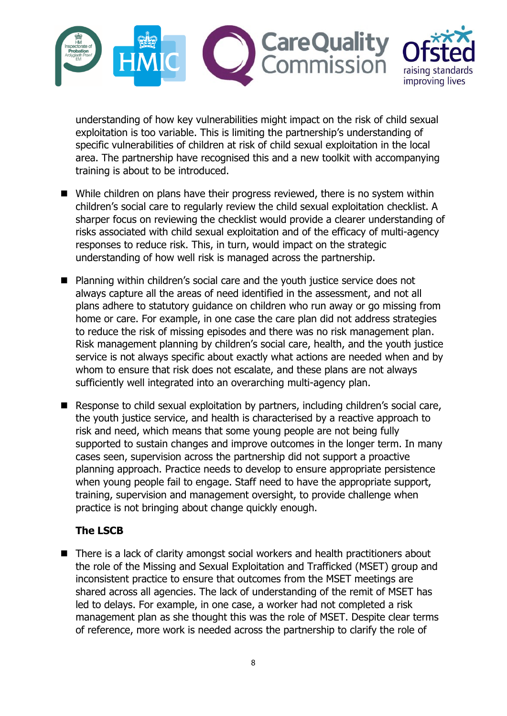

understanding of how key vulnerabilities might impact on the risk of child sexual exploitation is too variable. This is limiting the partnership's understanding of specific vulnerabilities of children at risk of child sexual exploitation in the local area. The partnership have recognised this and a new toolkit with accompanying training is about to be introduced.

- While children on plans have their progress reviewed, there is no system within children's social care to regularly review the child sexual exploitation checklist. A sharper focus on reviewing the checklist would provide a clearer understanding of risks associated with child sexual exploitation and of the efficacy of multi-agency responses to reduce risk. This, in turn, would impact on the strategic understanding of how well risk is managed across the partnership.
- Planning within children's social care and the youth justice service does not always capture all the areas of need identified in the assessment, and not all plans adhere to statutory guidance on children who run away or go missing from home or care. For example, in one case the care plan did not address strategies to reduce the risk of missing episodes and there was no risk management plan. Risk management planning by children's social care, health, and the youth justice service is not always specific about exactly what actions are needed when and by whom to ensure that risk does not escalate, and these plans are not always sufficiently well integrated into an overarching multi-agency plan.
- Response to child sexual exploitation by partners, including children's social care, the youth justice service, and health is characterised by a reactive approach to risk and need, which means that some young people are not being fully supported to sustain changes and improve outcomes in the longer term. In many cases seen, supervision across the partnership did not support a proactive planning approach. Practice needs to develop to ensure appropriate persistence when young people fail to engage. Staff need to have the appropriate support, training, supervision and management oversight, to provide challenge when practice is not bringing about change quickly enough.

#### **The LSCB**

 There is a lack of clarity amongst social workers and health practitioners about the role of the Missing and Sexual Exploitation and Trafficked (MSET) group and inconsistent practice to ensure that outcomes from the MSET meetings are shared across all agencies. The lack of understanding of the remit of MSET has led to delays. For example, in one case, a worker had not completed a risk management plan as she thought this was the role of MSET. Despite clear terms of reference, more work is needed across the partnership to clarify the role of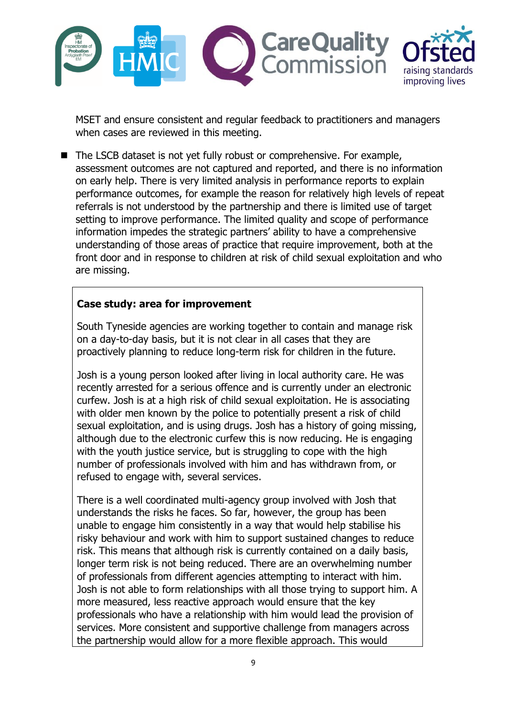

MSET and ensure consistent and regular feedback to practitioners and managers when cases are reviewed in this meeting.

 The LSCB dataset is not yet fully robust or comprehensive. For example, assessment outcomes are not captured and reported, and there is no information on early help. There is very limited analysis in performance reports to explain performance outcomes, for example the reason for relatively high levels of repeat referrals is not understood by the partnership and there is limited use of target setting to improve performance. The limited quality and scope of performance information impedes the strategic partners' ability to have a comprehensive understanding of those areas of practice that require improvement, both at the front door and in response to children at risk of child sexual exploitation and who are missing.

#### **Case study: area for improvement**

South Tyneside agencies are working together to contain and manage risk on a day-to-day basis, but it is not clear in all cases that they are proactively planning to reduce long-term risk for children in the future.

Josh is a young person looked after living in local authority care. He was recently arrested for a serious offence and is currently under an electronic curfew. Josh is at a high risk of child sexual exploitation. He is associating with older men known by the police to potentially present a risk of child sexual exploitation, and is using drugs. Josh has a history of going missing, although due to the electronic curfew this is now reducing. He is engaging with the youth justice service, but is struggling to cope with the high number of professionals involved with him and has withdrawn from, or refused to engage with, several services.

There is a well coordinated multi-agency group involved with Josh that understands the risks he faces. So far, however, the group has been unable to engage him consistently in a way that would help stabilise his risky behaviour and work with him to support sustained changes to reduce risk. This means that although risk is currently contained on a daily basis, longer term risk is not being reduced. There are an overwhelming number of professionals from different agencies attempting to interact with him. Josh is not able to form relationships with all those trying to support him. A more measured, less reactive approach would ensure that the key professionals who have a relationship with him would lead the provision of services. More consistent and supportive challenge from managers across the partnership would allow for a more flexible approach. This would